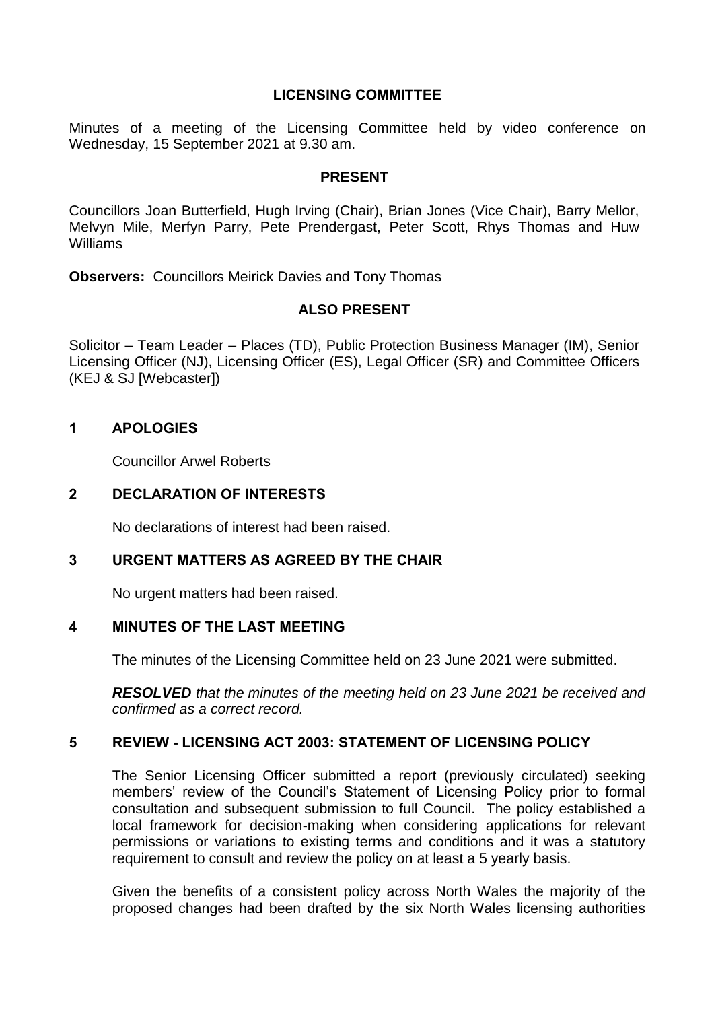## **LICENSING COMMITTEE**

Minutes of a meeting of the Licensing Committee held by video conference on Wednesday, 15 September 2021 at 9.30 am.

#### **PRESENT**

Councillors Joan Butterfield, Hugh Irving (Chair), Brian Jones (Vice Chair), Barry Mellor, Melvyn Mile, Merfyn Parry, Pete Prendergast, Peter Scott, Rhys Thomas and Huw Williams

**Observers:** Councillors Meirick Davies and Tony Thomas

### **ALSO PRESENT**

Solicitor – Team Leader – Places (TD), Public Protection Business Manager (IM), Senior Licensing Officer (NJ), Licensing Officer (ES), Legal Officer (SR) and Committee Officers (KEJ & SJ [Webcaster])

### **1 APOLOGIES**

Councillor Arwel Roberts

### **2 DECLARATION OF INTERESTS**

No declarations of interest had been raised.

### **3 URGENT MATTERS AS AGREED BY THE CHAIR**

No urgent matters had been raised.

### **4 MINUTES OF THE LAST MEETING**

The minutes of the Licensing Committee held on 23 June 2021 were submitted.

*RESOLVED that the minutes of the meeting held on 23 June 2021 be received and confirmed as a correct record.*

### **5 REVIEW - LICENSING ACT 2003: STATEMENT OF LICENSING POLICY**

The Senior Licensing Officer submitted a report (previously circulated) seeking members' review of the Council's Statement of Licensing Policy prior to formal consultation and subsequent submission to full Council. The policy established a local framework for decision-making when considering applications for relevant permissions or variations to existing terms and conditions and it was a statutory requirement to consult and review the policy on at least a 5 yearly basis.

Given the benefits of a consistent policy across North Wales the majority of the proposed changes had been drafted by the six North Wales licensing authorities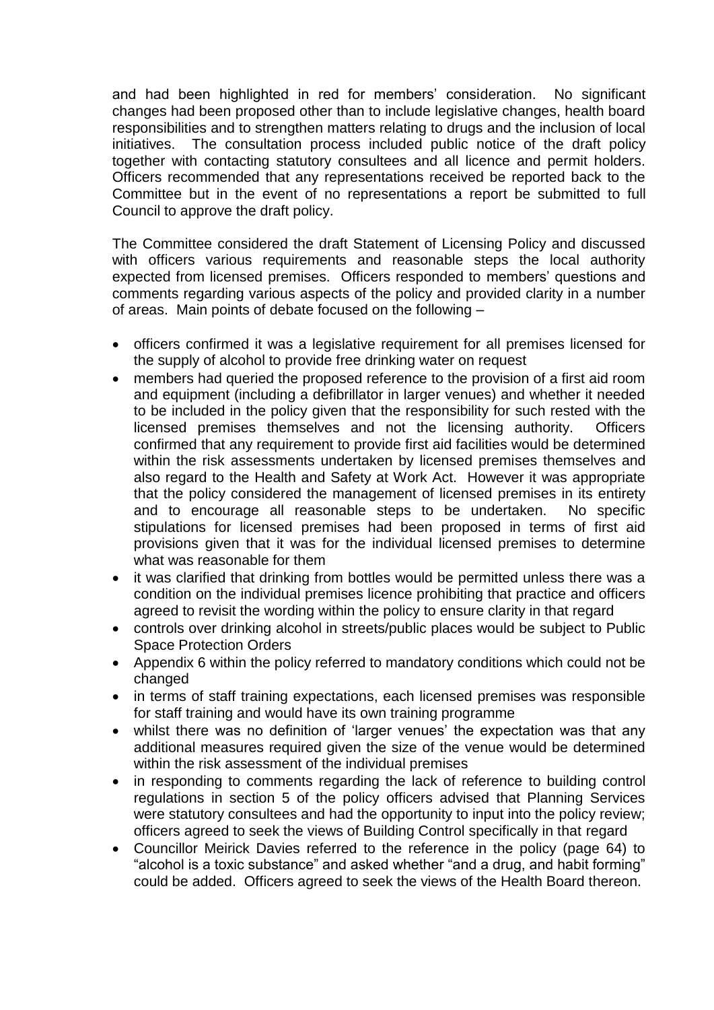and had been highlighted in red for members' consideration. No significant changes had been proposed other than to include legislative changes, health board responsibilities and to strengthen matters relating to drugs and the inclusion of local initiatives. The consultation process included public notice of the draft policy together with contacting statutory consultees and all licence and permit holders. Officers recommended that any representations received be reported back to the Committee but in the event of no representations a report be submitted to full Council to approve the draft policy.

The Committee considered the draft Statement of Licensing Policy and discussed with officers various requirements and reasonable steps the local authority expected from licensed premises. Officers responded to members' questions and comments regarding various aspects of the policy and provided clarity in a number of areas. Main points of debate focused on the following –

- officers confirmed it was a legislative requirement for all premises licensed for the supply of alcohol to provide free drinking water on request
- members had queried the proposed reference to the provision of a first aid room and equipment (including a defibrillator in larger venues) and whether it needed to be included in the policy given that the responsibility for such rested with the licensed premises themselves and not the licensing authority. Officers confirmed that any requirement to provide first aid facilities would be determined within the risk assessments undertaken by licensed premises themselves and also regard to the Health and Safety at Work Act. However it was appropriate that the policy considered the management of licensed premises in its entirety and to encourage all reasonable steps to be undertaken. No specific stipulations for licensed premises had been proposed in terms of first aid provisions given that it was for the individual licensed premises to determine what was reasonable for them
- it was clarified that drinking from bottles would be permitted unless there was a condition on the individual premises licence prohibiting that practice and officers agreed to revisit the wording within the policy to ensure clarity in that regard
- controls over drinking alcohol in streets/public places would be subject to Public Space Protection Orders
- Appendix 6 within the policy referred to mandatory conditions which could not be changed
- in terms of staff training expectations, each licensed premises was responsible for staff training and would have its own training programme
- whilst there was no definition of 'larger venues' the expectation was that any additional measures required given the size of the venue would be determined within the risk assessment of the individual premises
- in responding to comments regarding the lack of reference to building control regulations in section 5 of the policy officers advised that Planning Services were statutory consultees and had the opportunity to input into the policy review; officers agreed to seek the views of Building Control specifically in that regard
- Councillor Meirick Davies referred to the reference in the policy (page 64) to "alcohol is a toxic substance" and asked whether "and a drug, and habit forming" could be added. Officers agreed to seek the views of the Health Board thereon.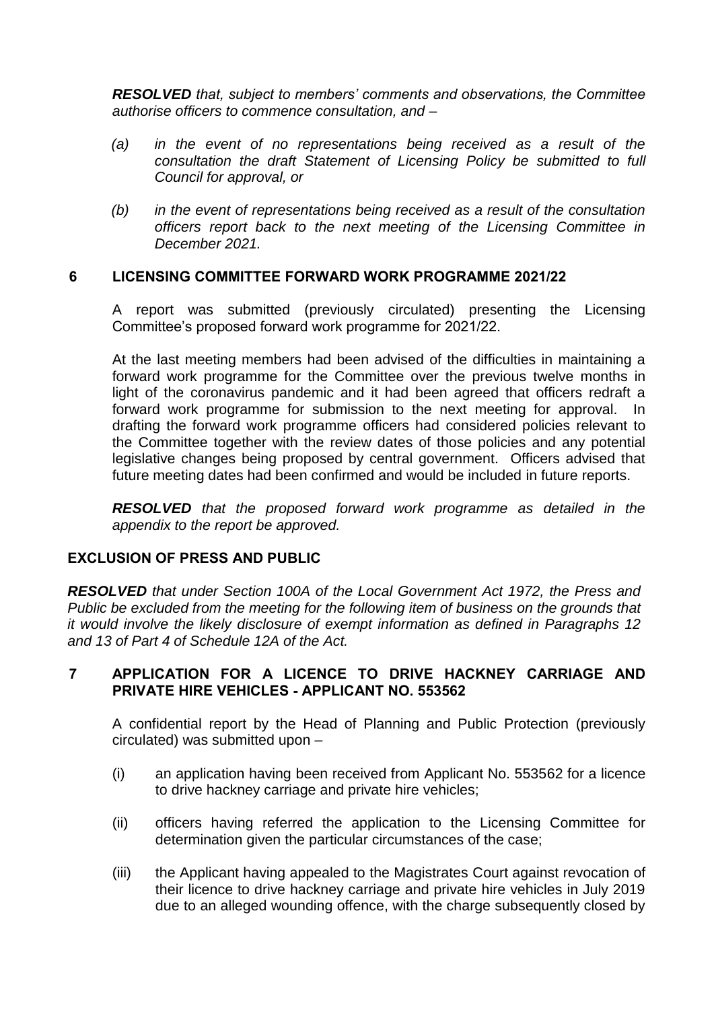*RESOLVED that, subject to members' comments and observations, the Committee authorise officers to commence consultation, and –*

- *(a) in the event of no representations being received as a result of the consultation the draft Statement of Licensing Policy be submitted to full Council for approval, or*
- *(b) in the event of representations being received as a result of the consultation officers report back to the next meeting of the Licensing Committee in December 2021.*

### **6 LICENSING COMMITTEE FORWARD WORK PROGRAMME 2021/22**

A report was submitted (previously circulated) presenting the Licensing Committee's proposed forward work programme for 2021/22.

At the last meeting members had been advised of the difficulties in maintaining a forward work programme for the Committee over the previous twelve months in light of the coronavirus pandemic and it had been agreed that officers redraft a forward work programme for submission to the next meeting for approval. In drafting the forward work programme officers had considered policies relevant to the Committee together with the review dates of those policies and any potential legislative changes being proposed by central government. Officers advised that future meeting dates had been confirmed and would be included in future reports.

*RESOLVED that the proposed forward work programme as detailed in the appendix to the report be approved.*

#### **EXCLUSION OF PRESS AND PUBLIC**

*RESOLVED that under Section 100A of the Local Government Act 1972, the Press and Public be excluded from the meeting for the following item of business on the grounds that it would involve the likely disclosure of exempt information as defined in Paragraphs 12 and 13 of Part 4 of Schedule 12A of the Act.*

# **7 APPLICATION FOR A LICENCE TO DRIVE HACKNEY CARRIAGE AND PRIVATE HIRE VEHICLES - APPLICANT NO. 553562**

A confidential report by the Head of Planning and Public Protection (previously circulated) was submitted upon –

- (i) an application having been received from Applicant No. 553562 for a licence to drive hackney carriage and private hire vehicles;
- (ii) officers having referred the application to the Licensing Committee for determination given the particular circumstances of the case;
- (iii) the Applicant having appealed to the Magistrates Court against revocation of their licence to drive hackney carriage and private hire vehicles in July 2019 due to an alleged wounding offence, with the charge subsequently closed by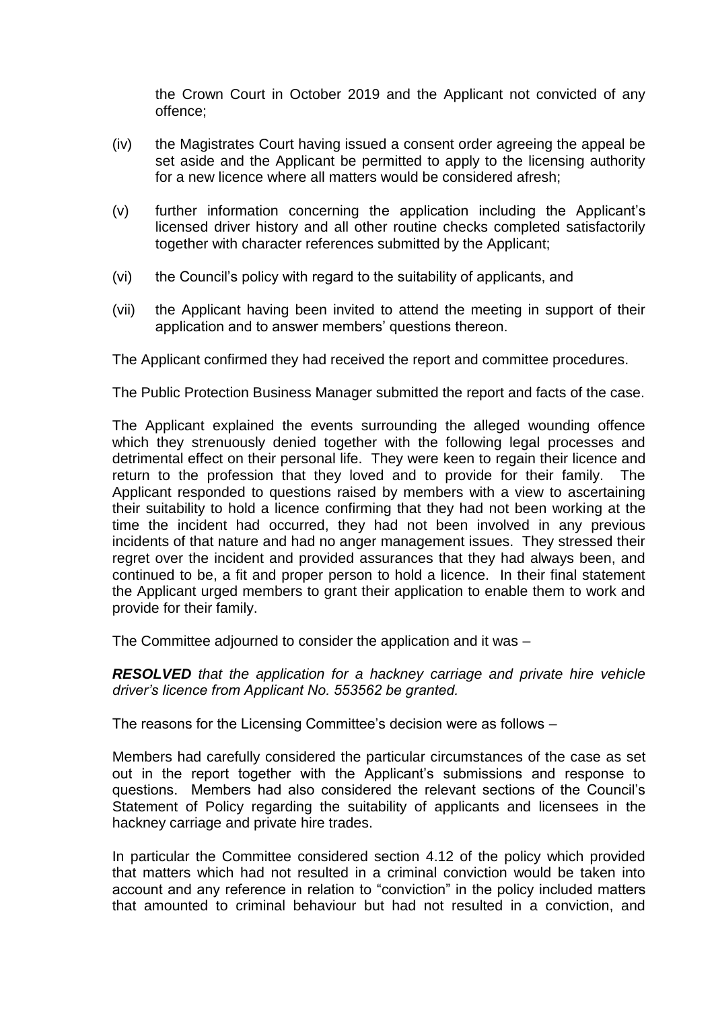the Crown Court in October 2019 and the Applicant not convicted of any offence;

- (iv) the Magistrates Court having issued a consent order agreeing the appeal be set aside and the Applicant be permitted to apply to the licensing authority for a new licence where all matters would be considered afresh;
- (v) further information concerning the application including the Applicant's licensed driver history and all other routine checks completed satisfactorily together with character references submitted by the Applicant;
- (vi) the Council's policy with regard to the suitability of applicants, and
- (vii) the Applicant having been invited to attend the meeting in support of their application and to answer members' questions thereon.

The Applicant confirmed they had received the report and committee procedures.

The Public Protection Business Manager submitted the report and facts of the case.

The Applicant explained the events surrounding the alleged wounding offence which they strenuously denied together with the following legal processes and detrimental effect on their personal life. They were keen to regain their licence and return to the profession that they loved and to provide for their family. The Applicant responded to questions raised by members with a view to ascertaining their suitability to hold a licence confirming that they had not been working at the time the incident had occurred, they had not been involved in any previous incidents of that nature and had no anger management issues. They stressed their regret over the incident and provided assurances that they had always been, and continued to be, a fit and proper person to hold a licence. In their final statement the Applicant urged members to grant their application to enable them to work and provide for their family.

The Committee adjourned to consider the application and it was –

*RESOLVED that the application for a hackney carriage and private hire vehicle driver's licence from Applicant No. 553562 be granted.*

The reasons for the Licensing Committee's decision were as follows –

Members had carefully considered the particular circumstances of the case as set out in the report together with the Applicant's submissions and response to questions. Members had also considered the relevant sections of the Council's Statement of Policy regarding the suitability of applicants and licensees in the hackney carriage and private hire trades.

In particular the Committee considered section 4.12 of the policy which provided that matters which had not resulted in a criminal conviction would be taken into account and any reference in relation to "conviction" in the policy included matters that amounted to criminal behaviour but had not resulted in a conviction, and